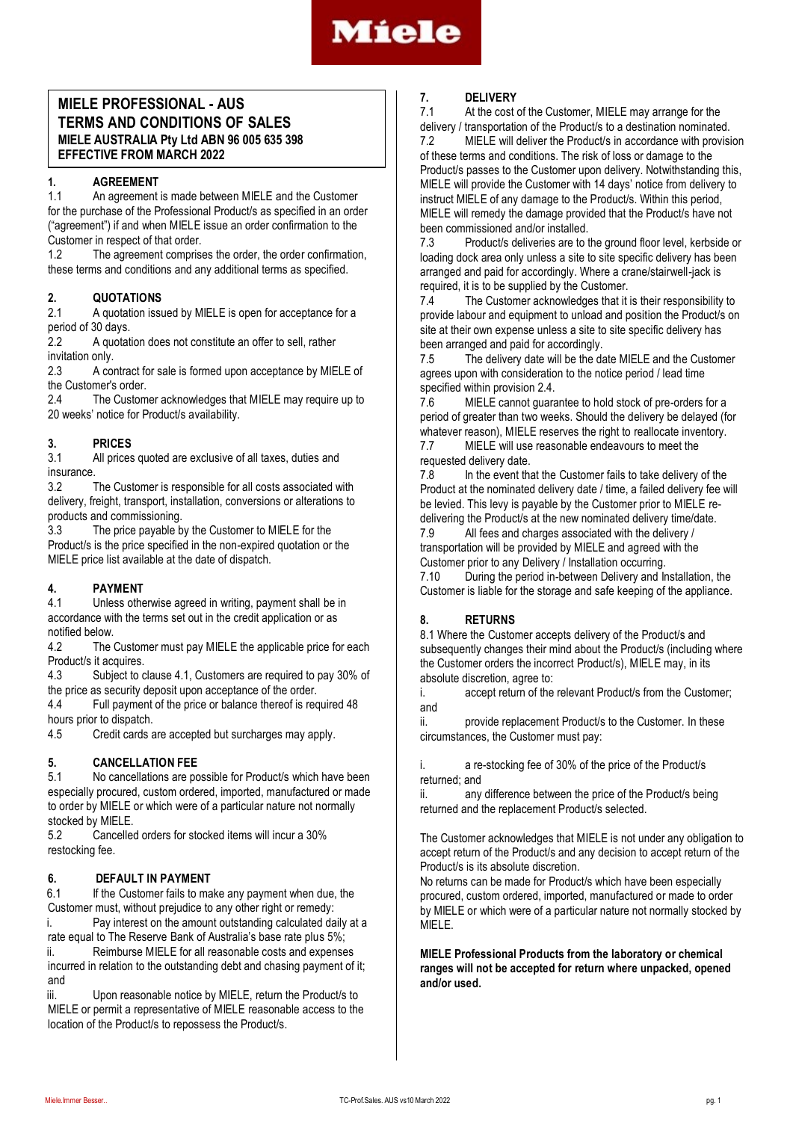

## **MIELE PROFESSIONAL - AUS TERMS AND CONDITIONS OF SALES MIELE AUSTRALIA Pty Ltd ABN 96 005 635 398 EFFECTIVE FROM MARCH 2022**

## **1. AGREEMENT**

1.1 An agreement is made between MIELE and the Customer for the purchase of the Professional Product/s as specified in an order ("agreement") if and when MIELE issue an order confirmation to the Customer in respect of that order.<br>12 The agreement comprise

The agreement comprises the order, the order confirmation, these terms and conditions and any additional terms as specified.

# **2. QUOTATIONS**

A quotation issued by MIELE is open for acceptance for a period of 30 days.

2.2 A quotation does not constitute an offer to sell, rather invitation only.

2.3 A contract for sale is formed upon acceptance by MIELE of the Customer's order.

2.4 The Customer acknowledges that MIELE may require up to 20 weeks' notice for Product/s availability.

## **3. PRICES**

3.1 All prices quoted are exclusive of all taxes, duties and insurance<br>3.2

The Customer is responsible for all costs associated with delivery, freight, transport, installation, conversions or alterations to products and commissioning.

3.3 The price payable by the Customer to MIELE for the Product/s is the price specified in the non-expired quotation or the MIELE price list available at the date of dispatch.

## **4. PAYMENT**

4.1 Unless otherwise agreed in writing, payment shall be in accordance with the terms set out in the credit application or as notified below.

4.2 The Customer must pay MIELE the applicable price for each Product/s it acquires.

4.3 Subject to clause 4.1, Customers are required to pay 30% of the price as security deposit upon acceptance of the order.

4.4 Full payment of the price or balance thereof is required 48 hours prior to dispatch.

4.5 Credit cards are accepted but surcharges may apply.

## **5. CANCELLATION FEE**

5.1 No cancellations are possible for Product/s which have been especially procured, custom ordered, imported, manufactured or made to order by MIELE or which were of a particular nature not normally stocked by MIELE

5.2 Cancelled orders for stocked items will incur a 30% restocking fee.

## **6. DEFAULT IN PAYMENT**

6.1 If the Customer fails to make any payment when due, the Customer must, without prejudice to any other right or remedy:

i. Pay interest on the amount outstanding calculated daily at a rate equal to The Reserve Bank of Australia's base rate plus 5%; ii. Reimburse MIELE for all reasonable costs and expenses

incurred in relation to the outstanding debt and chasing payment of it; and

iii. Upon reasonable notice by MIELE, return the Product/s to MIELE or permit a representative of MIELE reasonable access to the location of the Product/s to repossess the Product/s.

## **7. DELIVERY**

At the cost of the Customer, MIELE may arrange for the delivery / transportation of the Product/s to a destination nominated.

7.2 MIELE will deliver the Product/s in accordance with provision of these terms and conditions. The risk of loss or damage to the Product/s passes to the Customer upon delivery. Notwithstanding this, MIELE will provide the Customer with 14 days' notice from delivery to instruct MIELE of any damage to the Product/s. Within this period, MIELE will remedy the damage provided that the Product/s have not been commissioned and/or installed.

7.3 Product/s deliveries are to the ground floor level, kerbside or loading dock area only unless a site to site specific delivery has been arranged and paid for accordingly. Where a crane/stairwell-jack is required, it is to be supplied by the Customer.<br>7.4 The Customer acknowledges that it

The Customer acknowledges that it is their responsibility to provide labour and equipment to unload and position the Product/s on site at their own expense unless a site to site specific delivery has been arranged and paid for accordingly.

7.5 The delivery date will be the date MIELE and the Customer agrees upon with consideration to the notice period / lead time specified within provision 2.4.

7.6 MIELE cannot guarantee to hold stock of pre-orders for a period of greater than two weeks. Should the delivery be delayed (for whatever reason), MIELE reserves the right to reallocate inventory. 7.7 MIELE will use reasonable endeavours to meet the

requested delivery date.

7.8 In the event that the Customer fails to take delivery of the Product at the nominated delivery date / time, a failed delivery fee will be levied. This levy is payable by the Customer prior to MIELE re-

delivering the Product/s at the new nominated delivery time/date.<br>7.9 All fees and charges associated with the delivery / All fees and charges associated with the delivery / transportation will be provided by MIELE and agreed with the Customer prior to any Delivery / Installation occurring.

7.10 During the period in-between Delivery and Installation, the Customer is liable for the storage and safe keeping of the appliance.

## **8. RETURNS**

8.1 Where the Customer accepts delivery of the Product/s and subsequently changes their mind about the Product/s (including where the Customer orders the incorrect Product/s), MIELE may, in its absolute discretion, agree to:

i. accept return of the relevant Product/s from the Customer; and

ii. provide replacement Product/s to the Customer. In these circumstances, the Customer must pay:

i. a re-stocking fee of 30% of the price of the Product/s returned; and

ii. any difference between the price of the Product/s being returned and the replacement Product/s selected.

The Customer acknowledges that MIELE is not under any obligation to accept return of the Product/s and any decision to accept return of the Product/s is its absolute discretion.

No returns can be made for Product/s which have been especially procured, custom ordered, imported, manufactured or made to order by MIELE or which were of a particular nature not normally stocked by MIELE.

**MIELE Professional Products from the laboratory or chemical ranges will not be accepted for return where unpacked, opened and/or used.**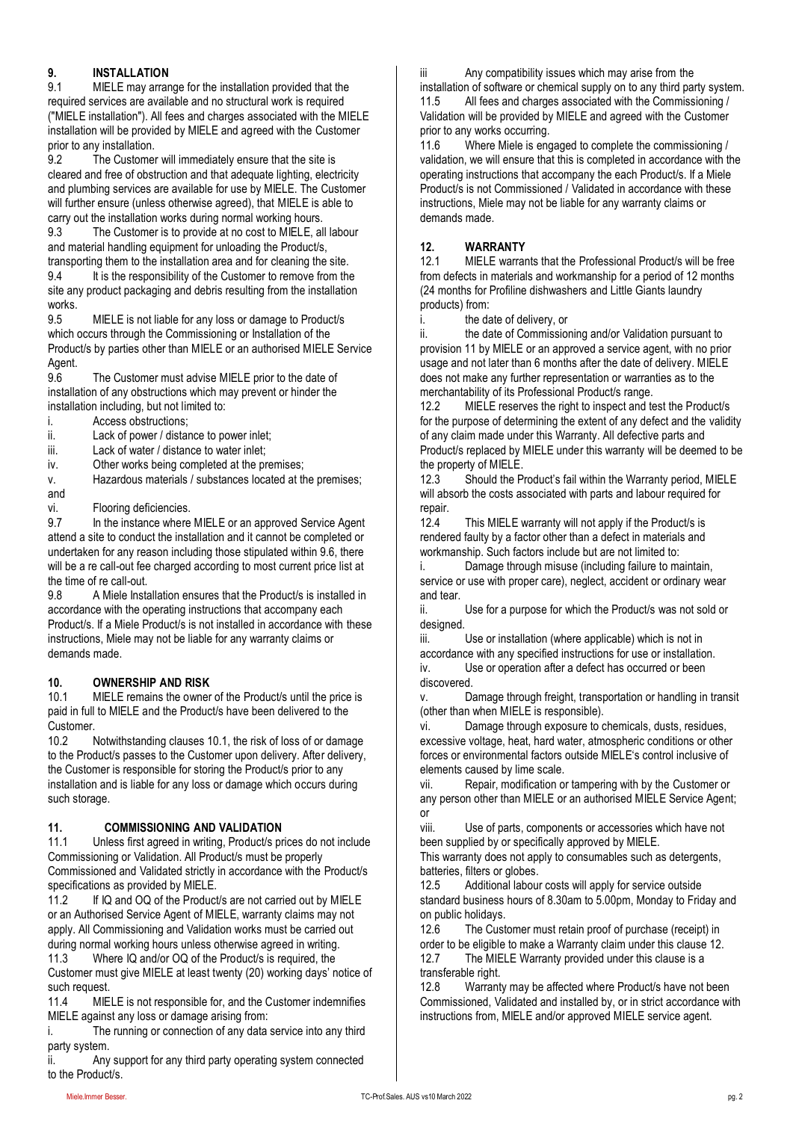## **9. INSTALLATION**

9.1 MIELE may arrange for the installation provided that the required services are available and no structural work is required ("MIELE installation"). All fees and charges associated with the MIELE installation will be provided by MIELE and agreed with the Customer prior to any installation.<br>9.2 The Custome

The Customer will immediately ensure that the site is cleared and free of obstruction and that adequate lighting, electricity and plumbing services are available for use by MIELE. The Customer will further ensure (unless otherwise agreed), that MIELE is able to

carry out the installation works during normal working hours.<br>9.3 The Customer is to provide at no cost to MIELE, all The Customer is to provide at no cost to MIELE, all labour and material handling equipment for unloading the Product/s, transporting them to the installation area and for cleaning the site.

9.4 It is the responsibility of the Customer to remove from the site any product packaging and debris resulting from the installation works.

9.5 MIELE is not liable for any loss or damage to Product/s which occurs through the Commissioning or Installation of the Product/s by parties other than MIELE or an authorised MIELE Service Agent.

9.6 The Customer must advise MIELE prior to the date of installation of any obstructions which may prevent or hinder the installation including, but not limited to:

i. Access obstructions;

ii. Lack of power / distance to power inlet;

iii. Lack of water / distance to water inlet;

iv. Other works being completed at the premises;

v. Hazardous materials / substances located at the premises; and

vi. Flooring deficiencies.

9.7 In the instance where MIELE or an approved Service Agent attend a site to conduct the installation and it cannot be completed or undertaken for any reason including those stipulated within 9.6, there will be a re call-out fee charged according to most current price list at the time of re call-out.

9.8 A Miele Installation ensures that the Product/s is installed in accordance with the operating instructions that accompany each Product/s. If a Miele Product/s is not installed in accordance with these instructions, Miele may not be liable for any warranty claims or demands made.

## **10. OWNERSHIP AND RISK**

10.1 MIELE remains the owner of the Product/s until the price is paid in full to MIELE and the Product/s have been delivered to the Customer.

10.2 Notwithstanding clauses 10.1, the risk of loss of or damage to the Product/s passes to the Customer upon delivery. After delivery, the Customer is responsible for storing the Product/s prior to any installation and is liable for any loss or damage which occurs during such storage.

## **11. COMMISSIONING AND VALIDATION**

11.1 Unless first agreed in writing, Product/s prices do not include Commissioning or Validation. All Product/s must be properly Commissioned and Validated strictly in accordance with the Product/s specifications as provided by MIELE.

11.2 If IQ and OQ of the Product/s are not carried out by MIELE or an Authorised Service Agent of MIELE, warranty claims may not apply. All Commissioning and Validation works must be carried out during normal working hours unless otherwise agreed in writing. 11.3 Where IQ and/or OQ of the Product/s is required, the

Customer must give MIELE at least twenty (20) working days' notice of such request.

11.4 MIELE is not responsible for, and the Customer indemnifies MIELE against any loss or damage arising from:

i. The running or connection of any data service into any third party system.

ii. Any support for any third party operating system connected to the Product/s.

iii Any compatibility issues which may arise from the

installation of software or chemical supply on to any third party system.<br>11.5 All fees and charges associated with the Commissioning / All fees and charges associated with the Commissioning / Validation will be provided by MIELE and agreed with the Customer prior to any works occurring.

11.6 Where Miele is engaged to complete the commissioning / validation, we will ensure that this is completed in accordance with the operating instructions that accompany the each Product/s. If a Miele Product/s is not Commissioned / Validated in accordance with these instructions, Miele may not be liable for any warranty claims or demands made.

## **12. WARRANTY**

12.1 MIELE warrants that the Professional Product/s will be free from defects in materials and workmanship for a period of 12 months (24 months for Profiline dishwashers and Little Giants laundry products) from:

i. the date of delivery, or

ii. the date of Commissioning and/or Validation pursuant to provision 11 by MIELE or an approved a service agent, with no prior usage and not later than 6 months after the date of delivery. MIELE does not make any further representation or warranties as to the merchantability of its Professional Product/s range.

12.2 MIELE reserves the right to inspect and test the Product/s for the purpose of determining the extent of any defect and the validity of any claim made under this Warranty. All defective parts and Product/s replaced by MIELE under this warranty will be deemed to be the property of MIELE.

12.3 Should the Product's fail within the Warranty period, MIELE will absorb the costs associated with parts and labour required for repair.

12.4 This MIELE warranty will not apply if the Product/s is rendered faulty by a factor other than a defect in materials and workmanship. Such factors include but are not limited to:

Damage through misuse (including failure to maintain, service or use with proper care), neglect, accident or ordinary wear and tear.

ii. Use for a purpose for which the Product/s was not sold or designed.

iii. Use or installation (where applicable) which is not in accordance with any specified instructions for use or installation. iv. Use or operation after a defect has occurred or been discovered.

v. Damage through freight, transportation or handling in transit (other than when MIELE is responsible).

vi. Damage through exposure to chemicals, dusts, residues, excessive voltage, heat, hard water, atmospheric conditions or other forces or environmental factors outside MIELE's control inclusive of elements caused by lime scale.

vii. Repair, modification or tampering with by the Customer or any person other than MIELE or an authorised MIELE Service Agent; or

viii. Use of parts, components or accessories which have not been supplied by or specifically approved by MIELE.

This warranty does not apply to consumables such as detergents, batteries, filters or globes.

12.5 Additional labour costs will apply for service outside standard business hours of 8.30am to 5.00pm, Monday to Friday and on public holidays.

12.6 The Customer must retain proof of purchase (receipt) in order to be eligible to make a Warranty claim under this clause 12. 12.7 The MIELE Warranty provided under this clause is a transferable right.

12.8 Warranty may be affected where Product/s have not been Commissioned, Validated and installed by, or in strict accordance with instructions from, MIELE and/or approved MIELE service agent.